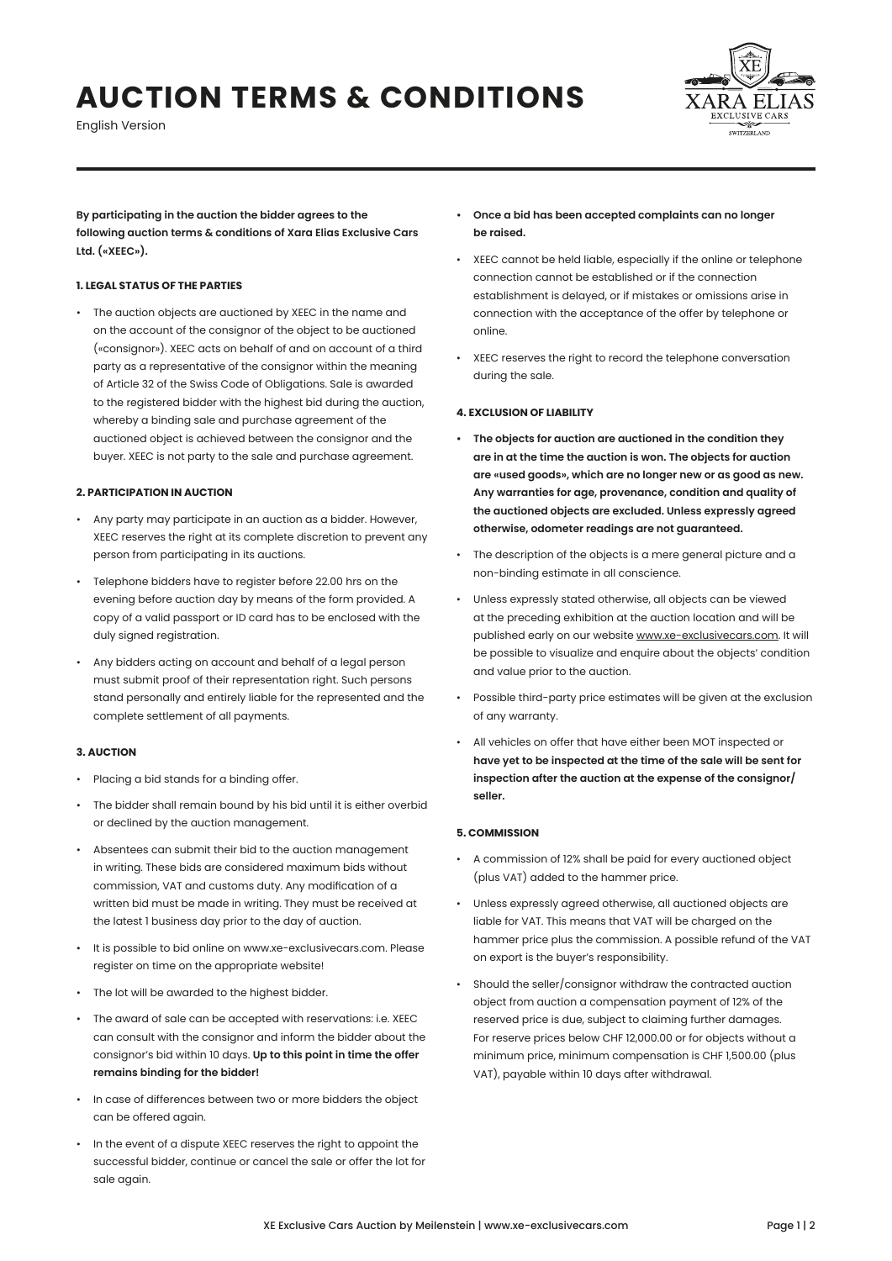# **AUCTION TERMS & CONDITIONS**

English Version



**By participating in the auction the bidder agrees to the following auction terms & conditions of Xara Elias Exclusive Cars Ltd. («XEEC»).**

## **1. LEGAL STATUS OF THE PARTIES**

• The auction objects are auctioned by XEEC in the name and on the account of the consignor of the object to be auctioned («consignor»). XEEC acts on behalf of and on account of a third party as a representative of the consignor within the meaning of Article 32 of the Swiss Code of Obligations. Sale is awarded to the registered bidder with the highest bid during the auction, whereby a binding sale and purchase agreement of the auctioned object is achieved between the consignor and the buyer. XEEC is not party to the sale and purchase agreement.

## **2. PARTICIPATION IN AUCTION**

- Any party may participate in an auction as a bidder. However, XEEC reserves the right at its complete discretion to prevent any person from participating in its auctions.
- Telephone bidders have to register before 22.00 hrs on the evening before auction day by means of the form provided. A copy of a valid passport or ID card has to be enclosed with the duly signed registration.
- Any bidders acting on account and behalf of a legal person must submit proof of their representation right. Such persons stand personally and entirely liable for the represented and the complete settlement of all payments.

# **3. AUCTION**

- Placing a bid stands for a binding offer.
- The bidder shall remain bound by his bid until it is either overbid or declined by the auction management.
- Absentees can submit their bid to the auction management in writing. These bids are considered maximum bids without commission, VAT and customs duty. Any modification of a written bid must be made in writing. They must be received at the latest 1 business day prior to the day of auction.
- It is possible to bid online on www.xe-exclusivecars.com. Please register on time on the appropriate website!
- The lot will be awarded to the highest bidder.
- The award of sale can be accepted with reservations: i.e. XEEC can consult with the consignor and inform the bidder about the consignor's bid within 10 days. **Up to this point in time the offer remains binding for the bidder!**
- In case of differences between two or more bidders the object can be offered again.
- In the event of a dispute XEEC reserves the right to appoint the successful bidder, continue or cancel the sale or offer the lot for sale again.
- **• Once a bid has been accepted complaints can no longer be raised.**
- XEEC cannot be held liable, especially if the online or telephone connection cannot be established or if the connection establishment is delayed, or if mistakes or omissions arise in connection with the acceptance of the offer by telephone or online.
- XEEC reserves the right to record the telephone conversation during the sale.

## **4. EXCLUSION OF LIABILITY**

- **• The objects for auction are auctioned in the condition they are in at the time the auction is won. The objects for auction are «used goods», which are no longer new or as good as new. Any warranties for age, provenance, condition and quality of the auctioned objects are excluded. Unless expressly agreed otherwise, odometer readings are not guaranteed.**
- The description of the objects is a mere general picture and a non-binding estimate in all conscience.
- Unless expressly stated otherwise, all objects can be viewed at the preceding exhibition at the auction location and will be published early on our website [www.xe-exclusivecars.com.](http://www.xe-exclusivecars.com) It will be possible to visualize and enquire about the objects' condition and value prior to the auction.
- Possible third-party price estimates will be given at the exclusion of any warranty.
- All vehicles on offer that have either been MOT inspected or **have yet to be inspected at the time of the sale will be sent for inspection after the auction at the expense of the consignor/ seller.**

#### **5. COMMISSION**

- A commission of 12% shall be paid for every auctioned object (plus VAT) added to the hammer price.
- Unless expressly agreed otherwise, all auctioned objects are liable for VAT. This means that VAT will be charged on the hammer price plus the commission. A possible refund of the VAT on export is the buyer's responsibility.
- Should the seller/consignor withdraw the contracted auction object from auction a compensation payment of 12% of the reserved price is due, subject to claiming further damages. For reserve prices below CHF 12,000.00 or for objects without a minimum price, minimum compensation is CHF 1,500.00 (plus VAT), payable within 10 days after withdrawal.